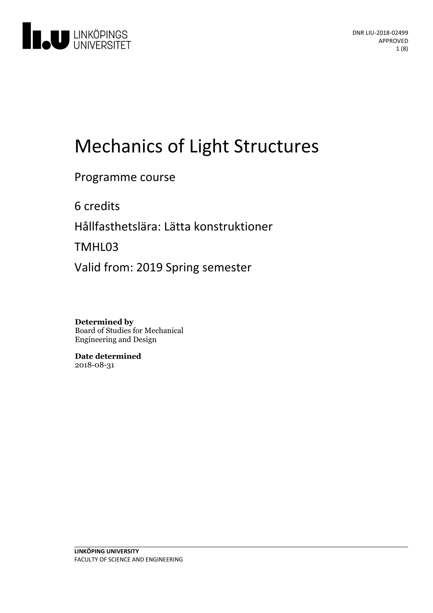

# Mechanics of Light Structures

Programme course

6 credits

Hållfasthetslära: Lätta konstruktioner

TMHL03

Valid from: 2019 Spring semester

**Determined by** Board of Studies for Mechanical Engineering and Design

**Date determined** 2018-08-31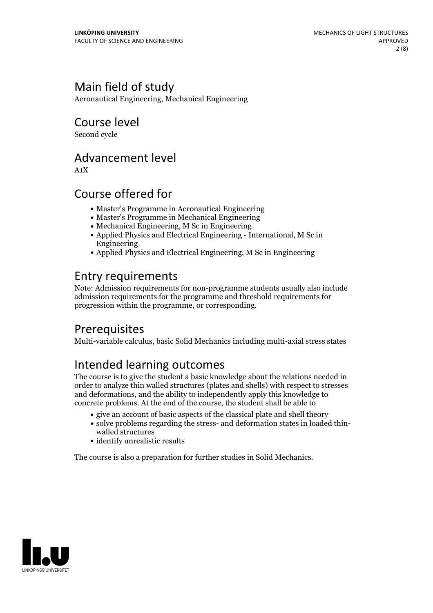# Main field of study

Aeronautical Engineering, Mechanical Engineering

### Course level

Second cycle

### Advancement level

A1X

### Course offered for

- Master's Programme in Aeronautical Engineering
- Master's Programme in Mechanical Engineering
- Mechanical Engineering, M Sc in Engineering
- Applied Physics and Electrical Engineering International, M Sc in Engineering
- Applied Physics and Electrical Engineering, M Sc in Engineering

## Entry requirements

Note: Admission requirements for non-programme students usually also include admission requirements for the programme and threshold requirements for progression within the programme, or corresponding.

## Prerequisites

Multi-variable calculus, basic Solid Mechanics including multi-axial stress states

## Intended learning outcomes

The course is to give the student a basic knowledge about the relations needed in order to analyze thin walled structures (plates and shells) with respect to stresses and deformations, and the ability to independently apply this knowledge to concrete problems. At the end of the course, the student shall be able to

- give an account of basic aspects of the classical plate and shell theory
- solve problems regarding the stress- and deformation states in loaded thin- walled structures
- identify unrealistic results

The course is also a preparation for further studies in Solid Mechanics.

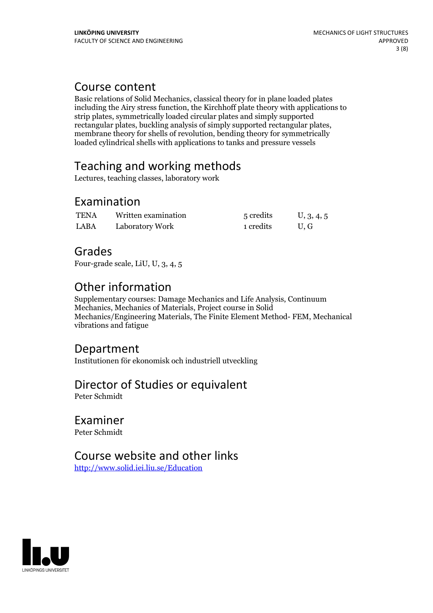#### Course content

Basic relations of Solid Mechanics, classical theory for in plane loaded plates including the Airy stress function, the Kirchhoff plate theory with applications to strip plates, symmetrically loaded circular plates and simply supported membrane theory for shells of revolution, bending theory for symmetrically loaded cylindrical shells with applications to tanks and pressure vessels

# Teaching and working methods

Lectures, teaching classes, laboratory work

### Examination

| <b>TENA</b> | Written examination | 5 credits | U, 3, 4, 5 |
|-------------|---------------------|-----------|------------|
| <b>LABA</b> | Laboratory Work     | 1 credits | U.G        |

### Grades

Four-grade scale, LiU, U, 3, 4, 5

# Other information

Supplementary courses: Damage Mechanics and Life Analysis, Continuum Mechanics, Mechanics of Materials, Project course in Solid Mechanics/Engineering Materials, The Finite Element Method- FEM, Mechanical vibrations and fatigue

#### Department

Institutionen för ekonomisk och industriell utveckling

## Director of Studies or equivalent

Peter Schmidt

# Examiner

Peter Schmidt

### Course website and other links

<http://www.solid.iei.liu.se/Education>

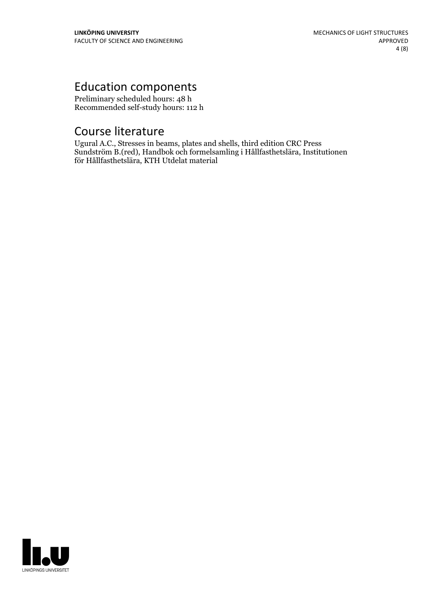# Education components

Preliminary scheduled hours: 48 h Recommended self-study hours: 112 h

### Course literature

Ugural A.C., Stresses in beams, plates and shells, third edition CRC Press Sundström B.(red), Handbok och formelsamling i Hållfasthetslära, Institutionen för Hållfasthetslära, KTH Utdelat material

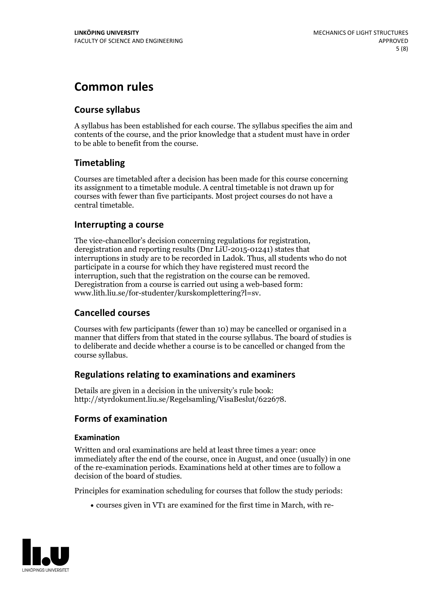# **Common rules**

#### **Course syllabus**

A syllabus has been established for each course. The syllabus specifies the aim and contents of the course, and the prior knowledge that a student must have in order to be able to benefit from the course.

#### **Timetabling**

Courses are timetabled after a decision has been made for this course concerning its assignment to a timetable module. A central timetable is not drawn up for courses with fewer than five participants. Most project courses do not have a central timetable.

#### **Interrupting a course**

The vice-chancellor's decision concerning regulations for registration, deregistration and reporting results (Dnr LiU-2015-01241) states that interruptions in study are to be recorded in Ladok. Thus, all students who do not participate in a course for which they have registered must record the interruption, such that the registration on the course can be removed. Deregistration from <sup>a</sup> course is carried outusing <sup>a</sup> web-based form: www.lith.liu.se/for-studenter/kurskomplettering?l=sv.

#### **Cancelled courses**

Courses with few participants (fewer than 10) may be cancelled or organised in a manner that differs from that stated in the course syllabus. The board of studies is to deliberate and decide whether a course is to be cancelled orchanged from the course syllabus.

#### **Regulations relatingto examinations and examiners**

Details are given in a decision in the university's rule book: http://styrdokument.liu.se/Regelsamling/VisaBeslut/622678.

#### **Forms of examination**

#### **Examination**

Written and oral examinations are held at least three times a year: once immediately after the end of the course, once in August, and once (usually) in one of the re-examination periods. Examinations held at other times are to follow a decision of the board of studies.

Principles for examination scheduling for courses that follow the study periods:

courses given in VT1 are examined for the first time in March, with re-

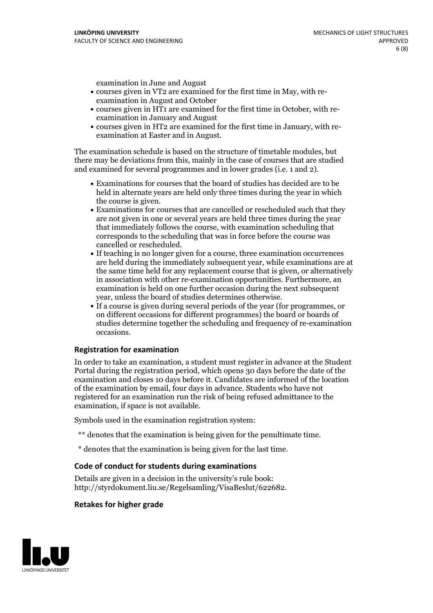examination in June and August

- courses given in VT2 are examined for the first time in May, with re-examination in August and October
- courses given in HT1 are examined for the first time in October, with re-examination in January and August
- courses given in HT2 are examined for the first time in January, with re-examination at Easter and in August.

The examination schedule is based on the structure of timetable modules, but there may be deviations from this, mainly in the case of courses that are studied and examined for several programmes and in lower grades (i.e. 1 and 2).

- Examinations for courses that the board of studies has decided are to be held in alternate years are held only three times during the year in which
- the course is given.<br>• Examinations for courses that are cancelled or rescheduled such that they are not given in one or several years are held three times during the year that immediately follows the course, with examination scheduling that corresponds to the scheduling that was in force before the course was cancelled or rescheduled.<br>• If teaching is no longer given for a course, three examination occurrences
- are held during the immediately subsequent year, while examinations are at the same time held for any replacement course that is given, or alternatively in association with other re-examination opportunities. Furthermore, an examination is held on one further occasion during the next subsequent year, unless the board of studies determines otherwise.<br>• If a course is given during several periods of the year (for programmes, or
- on different occasions for different programmes) the board orboards of studies determine together the scheduling and frequency of re-examination occasions.

#### **Registration for examination**

In order to take an examination, a student must register in advance at the Student Portal during the registration period, which opens 30 days before the date of the examination and closes 10 days before it. Candidates are informed of the location of the examination by email, four days in advance. Students who have not registered for an examination run the risk of being refused admittance to the examination, if space is not available.

Symbols used in the examination registration system:

- \*\* denotes that the examination is being given for the penultimate time.
- \* denotes that the examination is being given for the last time.

#### **Code of conduct for students during examinations**

Details are given in a decision in the university's rule book: http://styrdokument.liu.se/Regelsamling/VisaBeslut/622682.

#### **Retakes for higher grade**

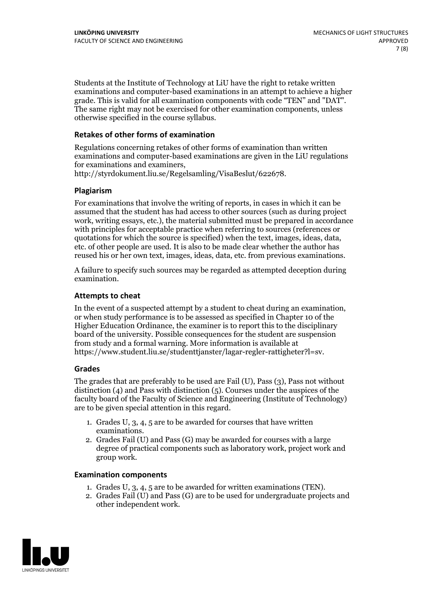Students at the Institute of Technology at LiU have the right to retake written examinations and computer-based examinations in an attempt to achieve a higher grade. This is valid for all examination components with code "TEN" and "DAT". The same right may not be exercised for other examination components, unless otherwise specified in the course syllabus.

#### **Retakes of other forms of examination**

Regulations concerning retakes of other forms of examination than written examinations and computer-based examinations are given in the LiU regulations for examinations and examiners, http://styrdokument.liu.se/Regelsamling/VisaBeslut/622678.

#### **Plagiarism**

For examinations that involve the writing of reports, in cases in which it can be assumed that the student has had access to other sources (such as during project work, writing essays, etc.), the material submitted must be prepared in accordance with principles for acceptable practice when referring to sources (references or quotations for which the source is specified) when the text, images, ideas, data, etc. of other people are used. It is also to be made clear whether the author has reused his or her own text, images, ideas, data, etc. from previous examinations.

A failure to specify such sources may be regarded as attempted deception during examination.

#### **Attempts to cheat**

In the event of <sup>a</sup> suspected attempt by <sup>a</sup> student to cheat during an examination, or when study performance is to be assessed as specified in Chapter <sup>10</sup> of the Higher Education Ordinance, the examiner is to report this to the disciplinary board of the university. Possible consequences for the student are suspension from study and a formal warning. More information is available at https://www.student.liu.se/studenttjanster/lagar-regler-rattigheter?l=sv.

#### **Grades**

The grades that are preferably to be used are Fail (U), Pass (3), Pass not without distinction  $(4)$  and Pass with distinction  $(5)$ . Courses under the auspices of the faculty board of the Faculty of Science and Engineering (Institute of Technology) are to be given special attention in this regard.

- 1. Grades U, 3, 4, 5 are to be awarded for courses that have written
- examinations. 2. Grades Fail (U) and Pass (G) may be awarded for courses with <sup>a</sup> large degree of practical components such as laboratory work, project work and group work.

#### **Examination components**

- 
- 1. Grades U, 3, 4, <sup>5</sup> are to be awarded for written examinations (TEN). 2. Grades Fail (U) and Pass (G) are to be used for undergraduate projects and other independent work.